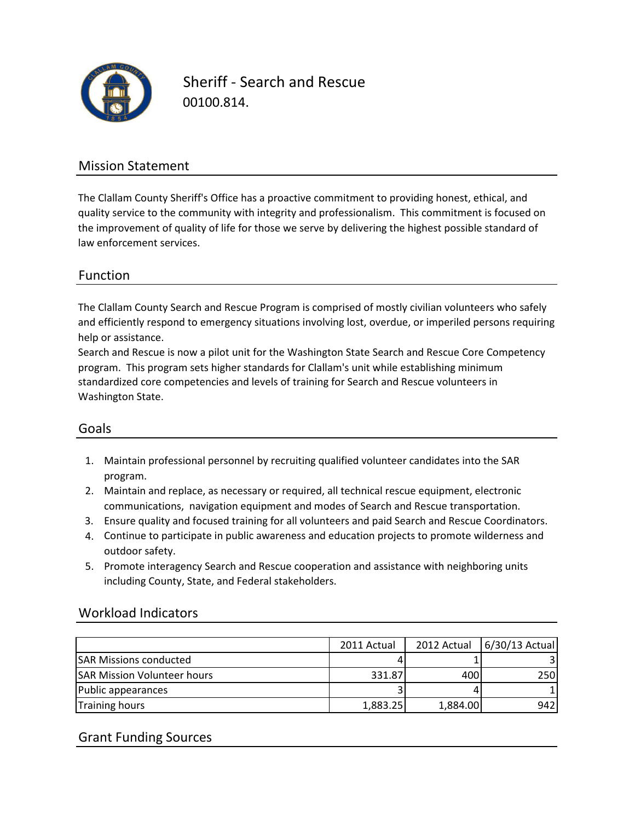

Sheriff - Search and Rescue 00100.814.

## Mission Statement

The Clallam County Sheriff's Office has a proactive commitment to providing honest, ethical, and quality service to the community with integrity and professionalism. This commitment is focused on the improvement of quality of life for those we serve by delivering the highest possible standard of law enforcement services.

### Function

The Clallam County Search and Rescue Program is comprised of mostly civilian volunteers who safely and efficiently respond to emergency situations involving lost, overdue, or imperiled persons requiring help or assistance.

Search and Rescue is now a pilot unit for the Washington State Search and Rescue Core Competency program. This program sets higher standards for Clallam's unit while establishing minimum standardized core competencies and levels of training for Search and Rescue volunteers in Washington State.

### Goals

- 1. Maintain professional personnel by recruiting qualified volunteer candidates into the SAR program.
- 2. Maintain and replace, as necessary or required, all technical rescue equipment, electronic communications, navigation equipment and modes of Search and Rescue transportation.
- 3. Ensure quality and focused training for all volunteers and paid Search and Rescue Coordinators.
- 4. Continue to participate in public awareness and education projects to promote wilderness and outdoor safety.
- 5. Promote interagency Search and Rescue cooperation and assistance with neighboring units including County, State, and Federal stakeholders.

### Workload Indicators

|                                    | 2011 Actual | 2012 Actual | 6/30/13 Actual |
|------------------------------------|-------------|-------------|----------------|
| <b>SAR Missions conducted</b>      |             |             |                |
| <b>SAR Mission Volunteer hours</b> | 331.87      | 400         | 250            |
| Public appearances                 |             |             |                |
| <b>Training hours</b>              | 1,883.25    | 1,884.00    | 942            |

## Grant Funding Sources